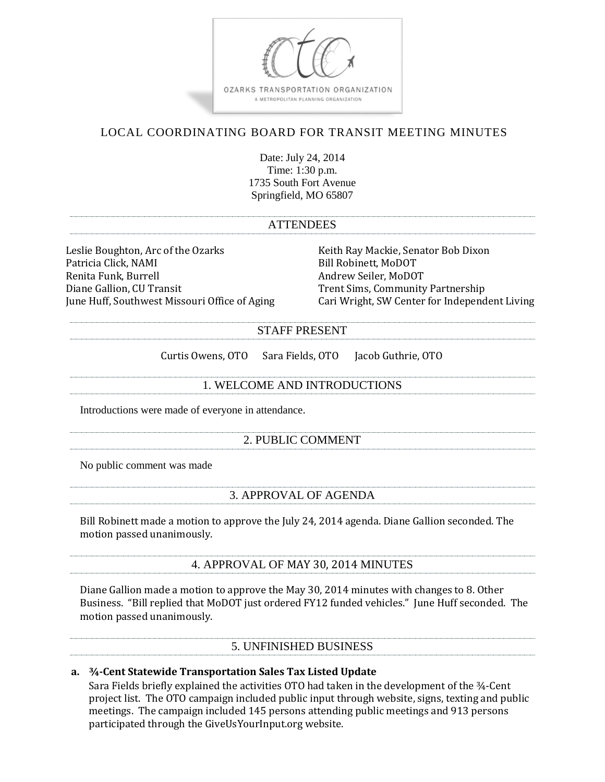

# LOCAL COORDINATING BOARD FOR TRANSIT MEETING MINUTES

Date: July 24, 2014 Time: 1:30 p.m. 1735 South Fort Avenue Springfield, MO 65807

#### **ATTENDEES**

Leslie Boughton, Arc of the Ozarks Keith Ray Mackie, Senator Bob Dixon Patricia Click, NAMI Bill Robinett, MoDOT Renita Funk, Burrell Andrew Seiler, MoDOT Diane Gallion, CU Transit Trent Sims, Community Partnership

June Huff, Southwest Missouri Office of Aging Cari Wright, SW Center for Independent Living

#### STAFF PRESENT

Curtis Owens, OTO Sara Fields, OTO Jacob Guthrie, OTO

1. WELCOME AND INTRODUCTIONS

Introductions were made of everyone in attendance.

## 2. PUBLIC COMMENT

No public comment was made

## 3. APPROVAL OF AGENDA

Bill Robinett made a motion to approve the July 24, 2014 agenda. Diane Gallion seconded. The motion passed unanimously.

## 4. APPROVAL OF MAY 30, 2014 MINUTES

Diane Gallion made a motion to approve the May 30, 2014 minutes with changes to 8. Other Business. "Bill replied that MoDOT just ordered FY12 funded vehicles." June Huff seconded. The motion passed unanimously.

## 5. UNFINISHED BUSINESS

## **a. ¾-Cent Statewide Transportation Sales Tax Listed Update**

Sara Fields briefly explained the activities OTO had taken in the development of the ¾-Cent project list. The OTO campaign included public input through website, signs, texting and public meetings. The campaign included 145 persons attending public meetings and 913 persons participated through the GiveUsYourInput.org website.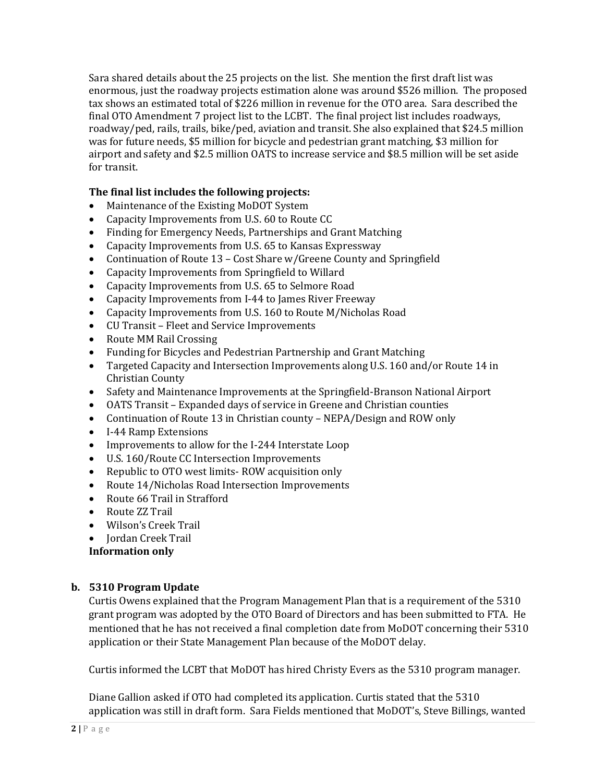Sara shared details about the 25 projects on the list. She mention the first draft list was enormous, just the roadway projects estimation alone was around \$526 million. The proposed tax shows an estimated total of \$226 million in revenue for the OTO area. Sara described the final OTO Amendment 7 project list to the LCBT. The final project list includes roadways, roadway/ped, rails, trails, bike/ped, aviation and transit. She also explained that \$24.5 million was for future needs, \$5 million for bicycle and pedestrian grant matching, \$3 million for airport and safety and \$2.5 million OATS to increase service and \$8.5 million will be set aside for transit.

## **The final list includes the following projects:**

- Maintenance of the Existing MoDOT System
- Capacity Improvements from U.S. 60 to Route CC
- Finding for Emergency Needs, Partnerships and Grant Matching
- Capacity Improvements from U.S. 65 to Kansas Expressway
- Continuation of Route 13 Cost Share w/Greene County and Springfield
- Capacity Improvements from Springfield to Willard
- Capacity Improvements from U.S. 65 to Selmore Road
- Capacity Improvements from I-44 to James River Freeway
- Capacity Improvements from U.S. 160 to Route M/Nicholas Road
- CU Transit Fleet and Service Improvements
- Route MM Rail Crossing
- Funding for Bicycles and Pedestrian Partnership and Grant Matching
- Targeted Capacity and Intersection Improvements along U.S. 160 and/or Route 14 in Christian County
- Safety and Maintenance Improvements at the Springfield-Branson National Airport
- OATS Transit Expanded days of service in Greene and Christian counties
- Continuation of Route 13 in Christian county NEPA/Design and ROW only
- I-44 Ramp Extensions
- Improvements to allow for the I-244 Interstate Loop
- U.S. 160/Route CC Intersection Improvements
- Republic to OTO west limits-ROW acquisition only
- Route 14/Nicholas Road Intersection Improvements
- Route 66 Trail in Strafford
- Route ZZ Trail
- Wilson's Creek Trail
- Jordan Creek Trail

**Information only**

## **b. 5310 Program Update**

Curtis Owens explained that the Program Management Plan that is a requirement of the 5310 grant program was adopted by the OTO Board of Directors and has been submitted to FTA. He mentioned that he has not received a final completion date from MoDOT concerning their 5310 application or their State Management Plan because of the MoDOT delay.

Curtis informed the LCBT that MoDOT has hired Christy Evers as the 5310 program manager.

Diane Gallion asked if OTO had completed its application. Curtis stated that the 5310 application was still in draft form. Sara Fields mentioned that MoDOT's, Steve Billings, wanted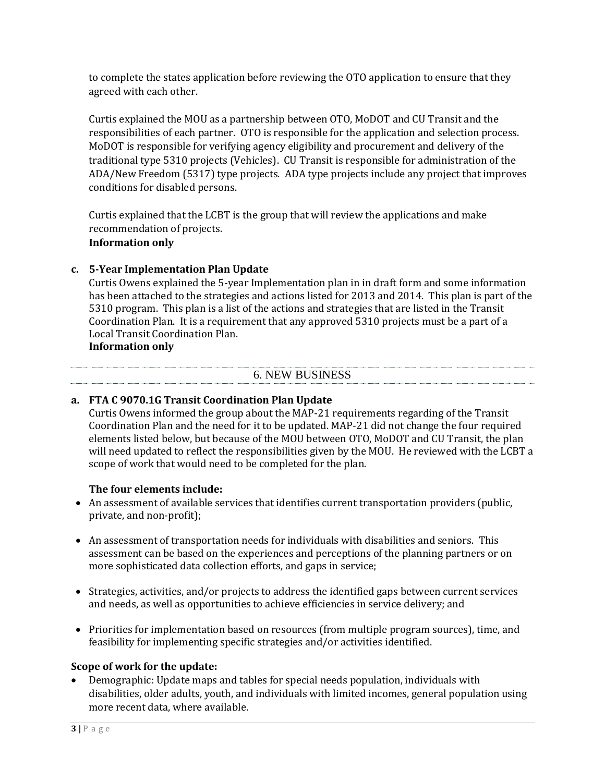to complete the states application before reviewing the OTO application to ensure that they agreed with each other.

Curtis explained the MOU as a partnership between OTO, MoDOT and CU Transit and the responsibilities of each partner. OTO is responsible for the application and selection process. MoDOT is responsible for verifying agency eligibility and procurement and delivery of the traditional type 5310 projects (Vehicles). CU Transit is responsible for administration of the ADA/New Freedom (5317) type projects. ADA type projects include any project that improves conditions for disabled persons.

Curtis explained that the LCBT is the group that will review the applications and make recommendation of projects.

## **Information only**

## **c. 5-Year Implementation Plan Update**

Curtis Owens explained the 5-year Implementation plan in in draft form and some information has been attached to the strategies and actions listed for 2013 and 2014. This plan is part of the 5310 program. This plan is a list of the actions and strategies that are listed in the Transit Coordination Plan. It is a requirement that any approved 5310 projects must be a part of a Local Transit Coordination Plan.

## **Information only**

## 6. NEW BUSINESS

## **a. FTA C 9070.1G Transit Coordination Plan Update**

Curtis Owens informed the group about the MAP-21 requirements regarding of the Transit Coordination Plan and the need for it to be updated. MAP-21 did not change the four required elements listed below, but because of the MOU between OTO, MoDOT and CU Transit, the plan will need updated to reflect the responsibilities given by the MOU. He reviewed with the LCBT a scope of work that would need to be completed for the plan.

## **The four elements include:**

- An assessment of available services that identifies current transportation providers (public, private, and non-profit);
- An assessment of transportation needs for individuals with disabilities and seniors. This assessment can be based on the experiences and perceptions of the planning partners or on more sophisticated data collection efforts, and gaps in service;
- Strategies, activities, and/or projects to address the identified gaps between current services and needs, as well as opportunities to achieve efficiencies in service delivery; and
- Priorities for implementation based on resources (from multiple program sources), time, and feasibility for implementing specific strategies and/or activities identified.

## **Scope of work for the update:**

 Demographic: Update maps and tables for special needs population, individuals with disabilities, older adults, youth, and individuals with limited incomes, general population using more recent data, where available.